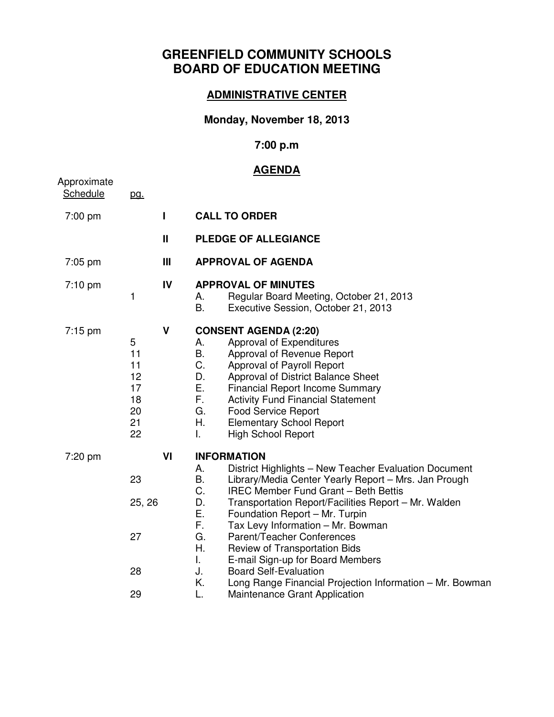# **GREENFIELD COMMUNITY SCHOOLS BOARD OF EDUCATION MEETING**

#### **ADMINISTRATIVE CENTER**

## **Monday, November 18, 2013**

## **7:00 p.m**

#### **AGENDA**

|                         |                                                   |                | <u>AGENDA</u>                                                                                                                                                                                                                                                                                                                                                                                                                                                                                                                                                                                                                    |
|-------------------------|---------------------------------------------------|----------------|----------------------------------------------------------------------------------------------------------------------------------------------------------------------------------------------------------------------------------------------------------------------------------------------------------------------------------------------------------------------------------------------------------------------------------------------------------------------------------------------------------------------------------------------------------------------------------------------------------------------------------|
| Approximate<br>Schedule | pg.                                               |                |                                                                                                                                                                                                                                                                                                                                                                                                                                                                                                                                                                                                                                  |
| 7:00 pm                 |                                                   | L              | <b>CALL TO ORDER</b>                                                                                                                                                                                                                                                                                                                                                                                                                                                                                                                                                                                                             |
|                         |                                                   | $\mathbf{I}$   | <b>PLEDGE OF ALLEGIANCE</b>                                                                                                                                                                                                                                                                                                                                                                                                                                                                                                                                                                                                      |
| 7:05 pm                 |                                                   | $\mathbf{III}$ | <b>APPROVAL OF AGENDA</b>                                                                                                                                                                                                                                                                                                                                                                                                                                                                                                                                                                                                        |
| $7:10$ pm               | 1                                                 | IV             | <b>APPROVAL OF MINUTES</b><br>Regular Board Meeting, October 21, 2013<br>А.<br>B.<br>Executive Session, October 21, 2013                                                                                                                                                                                                                                                                                                                                                                                                                                                                                                         |
| $7:15 \text{ pm}$       | 5<br>11<br>11<br>12<br>17<br>18<br>20<br>21<br>22 | $\mathsf{V}$   | <b>CONSENT AGENDA (2:20)</b><br>Approval of Expenditures<br>А.<br>Β.<br>Approval of Revenue Report<br>C.<br>Approval of Payroll Report<br>D.<br>Approval of District Balance Sheet<br>E.<br><b>Financial Report Income Summary</b><br>F.<br><b>Activity Fund Financial Statement</b><br>G.<br><b>Food Service Report</b><br>Η.<br><b>Elementary School Report</b><br>L.<br><b>High School Report</b>                                                                                                                                                                                                                             |
| 7:20 pm                 | 23<br>25, 26<br>27<br>28<br>29                    | VI             | <b>INFORMATION</b><br>District Highlights - New Teacher Evaluation Document<br>А.<br><b>B.</b><br>Library/Media Center Yearly Report - Mrs. Jan Prough<br>C.<br><b>IREC Member Fund Grant - Beth Bettis</b><br>D.<br>Transportation Report/Facilities Report - Mr. Walden<br>Ε.<br>Foundation Report - Mr. Turpin<br>F.<br>Tax Levy Information - Mr. Bowman<br>G.<br>Parent/Teacher Conferences<br>Η.<br>Review of Transportation Bids<br>L.<br>E-mail Sign-up for Board Members<br>J.<br><b>Board Self-Evaluation</b><br>Κ.<br>Long Range Financial Projection Information - Mr. Bowman<br>L.<br>Maintenance Grant Application |